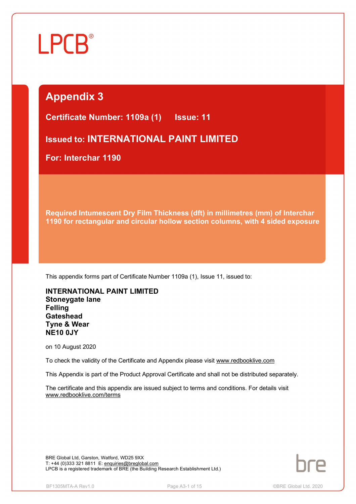# Ĩ

## **Appendix 3**

**Certificate Number: 1109a (1) Issue: 11** 

**Issued to: INTERNATIONAL PAINT LIMITED**

**For: Interchar 1190**

**Required Intumescent Dry Film Thickness (dft) in millimetres (mm) of Interchar 1190 for rectangular and circular hollow section columns, with 4 sided exposure**

This appendix forms part of Certificate Number 1109a (1), Issue 11, issued to:

**INTERNATIONAL PAINT LIMITED Stoneygate lane Felling Gateshead Tyne & Wear NE10 0JY**

on 10 August 2020

To check the validity of the Certificate and Appendix please visit [www.redbooklive.com](http://www.redbooklive.com)

This Appendix is part of the Product Approval Certificate and shall not be distributed separately.

The certificate and this appendix are issued subject to terms and conditions. For details visit [www.redbooklive.com/terms](http://www.redbooklive.com/terms)

BRE Global Ltd, Garston, Watford, WD25 9XX T: +44 (0)333 321 8811 E: [enquiries@breglobal.com](mailto:enquiries@breglobal.com) LPCB is a registered trademark of BRE (the Building Research Establishment Ltd.)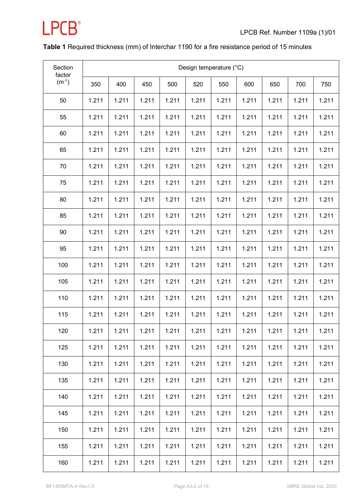

#### **Table 1** Required thickness (mm) of Interchar 1190 for a fire resistance period of 15 minutes

| Section<br>factor |       | Design temperature (°C) |       |       |       |       |       |       |       |       |  |  |  |  |
|-------------------|-------|-------------------------|-------|-------|-------|-------|-------|-------|-------|-------|--|--|--|--|
| $(m^{-1})$        | 350   | 400                     | 450   | 500   | 520   | 550   | 600   | 650   | 700   | 750   |  |  |  |  |
| 50                | 1.211 | 1.211                   | 1.211 | 1.211 | 1.211 | 1.211 | 1.211 | 1.211 | 1.211 | 1.211 |  |  |  |  |
| 55                | 1.211 | 1.211                   | 1.211 | 1.211 | 1.211 | 1.211 | 1.211 | 1.211 | 1.211 | 1.211 |  |  |  |  |
| 60                | 1.211 | 1.211                   | 1.211 | 1.211 | 1.211 | 1.211 | 1.211 | 1.211 | 1.211 | 1.211 |  |  |  |  |
| 65                | 1.211 | 1.211                   | 1.211 | 1.211 | 1.211 | 1.211 | 1.211 | 1.211 | 1.211 | 1.211 |  |  |  |  |
| 70                | 1.211 | 1.211                   | 1.211 | 1.211 | 1.211 | 1.211 | 1.211 | 1.211 | 1.211 | 1.211 |  |  |  |  |
| 75                | 1.211 | 1.211                   | 1.211 | 1.211 | 1.211 | 1.211 | 1.211 | 1.211 | 1.211 | 1.211 |  |  |  |  |
| 80                | 1.211 | 1.211                   | 1.211 | 1.211 | 1.211 | 1.211 | 1.211 | 1.211 | 1.211 | 1.211 |  |  |  |  |
| 85                | 1.211 | 1.211                   | 1.211 | 1.211 | 1.211 | 1.211 | 1.211 | 1.211 | 1.211 | 1.211 |  |  |  |  |
| 90                | 1.211 | 1.211                   | 1.211 | 1.211 | 1.211 | 1.211 | 1.211 | 1.211 | 1.211 | 1.211 |  |  |  |  |
| 95                | 1.211 | 1.211                   | 1.211 | 1.211 | 1.211 | 1.211 | 1.211 | 1.211 | 1.211 | 1.211 |  |  |  |  |
| 100               | 1.211 | 1.211                   | 1.211 | 1.211 | 1.211 | 1.211 | 1.211 | 1.211 | 1.211 | 1.211 |  |  |  |  |
| 105               | 1.211 | 1.211                   | 1.211 | 1.211 | 1.211 | 1.211 | 1.211 | 1.211 | 1.211 | 1.211 |  |  |  |  |
| 110               | 1.211 | 1.211                   | 1.211 | 1.211 | 1.211 | 1.211 | 1.211 | 1.211 | 1.211 | 1.211 |  |  |  |  |
| 115               | 1.211 | 1.211                   | 1.211 | 1.211 | 1.211 | 1.211 | 1.211 | 1.211 | 1.211 | 1.211 |  |  |  |  |
| 120               | 1.211 | 1.211                   | 1.211 | 1.211 | 1.211 | 1.211 | 1.211 | 1.211 | 1.211 | 1.211 |  |  |  |  |
| 125               | 1.211 | 1.211                   | 1.211 | 1.211 | 1.211 | 1.211 | 1.211 | 1.211 | 1.211 | 1.211 |  |  |  |  |
| 130               | 1.211 | 1.211                   | 1.211 | 1.211 | 1.211 | 1.211 | 1.211 | 1.211 | 1.211 | 1.211 |  |  |  |  |
| 135               | 1.211 | 1.211                   | 1.211 | 1.211 | 1.211 | 1.211 | 1.211 | 1.211 | 1.211 | 1.211 |  |  |  |  |
| 140               | 1.211 | 1.211                   | 1.211 | 1.211 | 1.211 | 1.211 | 1.211 | 1.211 | 1.211 | 1.211 |  |  |  |  |
| 145               | 1.211 | 1.211                   | 1.211 | 1.211 | 1.211 | 1.211 | 1.211 | 1.211 | 1.211 | 1.211 |  |  |  |  |
| 150               | 1.211 | 1.211                   | 1.211 | 1.211 | 1.211 | 1.211 | 1.211 | 1.211 | 1.211 | 1.211 |  |  |  |  |
| 155               | 1.211 | 1.211                   | 1.211 | 1.211 | 1.211 | 1.211 | 1.211 | 1.211 | 1.211 | 1.211 |  |  |  |  |
| 160               | 1.211 | 1.211                   | 1.211 | 1.211 | 1.211 | 1.211 | 1.211 | 1.211 | 1.211 | 1.211 |  |  |  |  |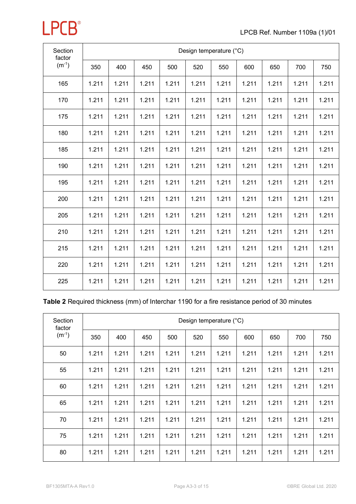| Section<br>factor |       | Design temperature (°C) |       |       |       |       |       |       |       |       |  |  |  |  |
|-------------------|-------|-------------------------|-------|-------|-------|-------|-------|-------|-------|-------|--|--|--|--|
| $(m^{-1})$        | 350   | 400                     | 450   | 500   | 520   | 550   | 600   | 650   | 700   | 750   |  |  |  |  |
| 165               | 1.211 | 1.211                   | 1.211 | 1.211 | 1.211 | 1.211 | 1.211 | 1.211 | 1.211 | 1.211 |  |  |  |  |
| 170               | 1.211 | 1.211                   | 1.211 | 1.211 | 1.211 | 1.211 | 1.211 | 1.211 | 1.211 | 1.211 |  |  |  |  |
| 175               | 1.211 | 1.211                   | 1.211 | 1.211 | 1.211 | 1.211 | 1.211 | 1.211 | 1.211 | 1.211 |  |  |  |  |
| 180               | 1.211 | 1.211                   | 1.211 | 1.211 | 1.211 | 1.211 | 1.211 | 1.211 | 1.211 | 1.211 |  |  |  |  |
| 185               | 1.211 | 1.211                   | 1.211 | 1.211 | 1.211 | 1.211 | 1.211 | 1.211 | 1.211 | 1.211 |  |  |  |  |
| 190               | 1.211 | 1.211                   | 1.211 | 1.211 | 1.211 | 1.211 | 1.211 | 1.211 | 1.211 | 1.211 |  |  |  |  |
| 195               | 1.211 | 1.211                   | 1.211 | 1.211 | 1.211 | 1.211 | 1.211 | 1.211 | 1.211 | 1.211 |  |  |  |  |
| 200               | 1.211 | 1.211                   | 1.211 | 1.211 | 1.211 | 1.211 | 1.211 | 1.211 | 1.211 | 1.211 |  |  |  |  |
| 205               | 1.211 | 1.211                   | 1.211 | 1.211 | 1.211 | 1.211 | 1.211 | 1.211 | 1.211 | 1.211 |  |  |  |  |
| 210               | 1.211 | 1.211                   | 1.211 | 1.211 | 1.211 | 1.211 | 1.211 | 1.211 | 1.211 | 1.211 |  |  |  |  |
| 215               | 1.211 | 1.211                   | 1.211 | 1.211 | 1.211 | 1.211 | 1.211 | 1.211 | 1.211 | 1.211 |  |  |  |  |
| 220               | 1.211 | 1.211                   | 1.211 | 1.211 | 1.211 | 1.211 | 1.211 | 1.211 | 1.211 | 1.211 |  |  |  |  |
| 225               | 1.211 | 1.211                   | 1.211 | 1.211 | 1.211 | 1.211 | 1.211 | 1.211 | 1.211 | 1.211 |  |  |  |  |

| Table 2 Required thickness (mm) of Interchar 1190 for a fire resistance period of 30 minutes |  |  |  |
|----------------------------------------------------------------------------------------------|--|--|--|
|----------------------------------------------------------------------------------------------|--|--|--|

| Section<br>factor | Design temperature (°C) |       |       |       |       |       |       |       |       |       |  |  |  |
|-------------------|-------------------------|-------|-------|-------|-------|-------|-------|-------|-------|-------|--|--|--|
| $(m^{-1})$        | 350                     | 400   | 450   | 500   | 520   | 550   | 600   | 650   | 700   | 750   |  |  |  |
| 50                | 1.211                   | 1.211 | 1.211 | 1.211 | 1.211 | 1.211 | 1.211 | 1.211 | 1.211 | 1.211 |  |  |  |
| 55                | 1.211                   | 1.211 | 1.211 | 1.211 | 1.211 | 1.211 | 1.211 | 1.211 | 1.211 | 1.211 |  |  |  |
| 60                | 1.211                   | 1.211 | 1.211 | 1.211 | 1.211 | 1.211 | 1.211 | 1.211 | 1.211 | 1.211 |  |  |  |
| 65                | 1.211                   | 1.211 | 1.211 | 1.211 | 1.211 | 1.211 | 1.211 | 1.211 | 1.211 | 1.211 |  |  |  |
| 70                | 1.211                   | 1.211 | 1.211 | 1.211 | 1.211 | 1.211 | 1.211 | 1.211 | 1.211 | 1.211 |  |  |  |
| 75                | 1.211                   | 1.211 | 1.211 | 1.211 | 1.211 | 1.211 | 1.211 | 1.211 | 1.211 | 1.211 |  |  |  |
| 80                | 1.211                   | 1.211 | 1.211 | 1.211 | 1.211 | 1.211 | 1.211 | 1.211 | 1.211 | 1.211 |  |  |  |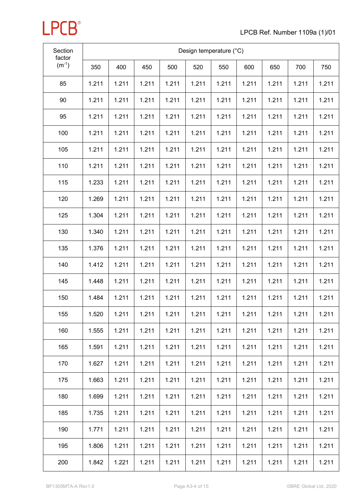| Section<br>factor | Design temperature (°C) |       |       |       |       |       |       |       |       |       |  |  |
|-------------------|-------------------------|-------|-------|-------|-------|-------|-------|-------|-------|-------|--|--|
| $(m^{-1})$        | 350                     | 400   | 450   | 500   | 520   | 550   | 600   | 650   | 700   | 750   |  |  |
| 85                | 1.211                   | 1.211 | 1.211 | 1.211 | 1.211 | 1.211 | 1.211 | 1.211 | 1.211 | 1.211 |  |  |
| 90                | 1.211                   | 1.211 | 1.211 | 1.211 | 1.211 | 1.211 | 1.211 | 1.211 | 1.211 | 1.211 |  |  |
| 95                | 1.211                   | 1.211 | 1.211 | 1.211 | 1.211 | 1.211 | 1.211 | 1.211 | 1.211 | 1.211 |  |  |
| 100               | 1.211                   | 1.211 | 1.211 | 1.211 | 1.211 | 1.211 | 1.211 | 1.211 | 1.211 | 1.211 |  |  |
| 105               | 1.211                   | 1.211 | 1.211 | 1.211 | 1.211 | 1.211 | 1.211 | 1.211 | 1.211 | 1.211 |  |  |
| 110               | 1.211                   | 1.211 | 1.211 | 1.211 | 1.211 | 1.211 | 1.211 | 1.211 | 1.211 | 1.211 |  |  |
| 115               | 1.233                   | 1.211 | 1.211 | 1.211 | 1.211 | 1.211 | 1.211 | 1.211 | 1.211 | 1.211 |  |  |
| 120               | 1.269                   | 1.211 | 1.211 | 1.211 | 1.211 | 1.211 | 1.211 | 1.211 | 1.211 | 1.211 |  |  |
| 125               | 1.304                   | 1.211 | 1.211 | 1.211 | 1.211 | 1.211 | 1.211 | 1.211 | 1.211 | 1.211 |  |  |
| 130               | 1.340                   | 1.211 | 1.211 | 1.211 | 1.211 | 1.211 | 1.211 | 1.211 | 1.211 | 1.211 |  |  |
| 135               | 1.376                   | 1.211 | 1.211 | 1.211 | 1.211 | 1.211 | 1.211 | 1.211 | 1.211 | 1.211 |  |  |
| 140               | 1.412                   | 1.211 | 1.211 | 1.211 | 1.211 | 1.211 | 1.211 | 1.211 | 1.211 | 1.211 |  |  |
| 145               | 1.448                   | 1.211 | 1.211 | 1.211 | 1.211 | 1.211 | 1.211 | 1.211 | 1.211 | 1.211 |  |  |
| 150               | 1.484                   | 1.211 | 1.211 | 1.211 | 1.211 | 1.211 | 1.211 | 1.211 | 1.211 | 1.211 |  |  |
| 155               | 1.520                   | 1.211 | 1.211 | 1.211 | 1.211 | 1.211 | 1.211 | 1.211 | 1.211 | 1.211 |  |  |
| 160               | 1.555                   | 1.211 | 1.211 | 1.211 | 1.211 | 1.211 | 1.211 | 1.211 | 1.211 | 1.211 |  |  |
| 165               | 1.591                   | 1.211 | 1.211 | 1.211 | 1.211 | 1.211 | 1.211 | 1.211 | 1.211 | 1.211 |  |  |
| 170               | 1.627                   | 1.211 | 1.211 | 1.211 | 1.211 | 1.211 | 1.211 | 1.211 | 1.211 | 1.211 |  |  |
| 175               | 1.663                   | 1.211 | 1.211 | 1.211 | 1.211 | 1.211 | 1.211 | 1.211 | 1.211 | 1.211 |  |  |
| 180               | 1.699                   | 1.211 | 1.211 | 1.211 | 1.211 | 1.211 | 1.211 | 1.211 | 1.211 | 1.211 |  |  |
| 185               | 1.735                   | 1.211 | 1.211 | 1.211 | 1.211 | 1.211 | 1.211 | 1.211 | 1.211 | 1.211 |  |  |
| 190               | 1.771                   | 1.211 | 1.211 | 1.211 | 1.211 | 1.211 | 1.211 | 1.211 | 1.211 | 1.211 |  |  |
| 195               | 1.806                   | 1.211 | 1.211 | 1.211 | 1.211 | 1.211 | 1.211 | 1.211 | 1.211 | 1.211 |  |  |
| 200               | 1.842                   | 1.221 | 1.211 | 1.211 | 1.211 | 1.211 | 1.211 | 1.211 | 1.211 | 1.211 |  |  |

**LPCB**<sup>®</sup>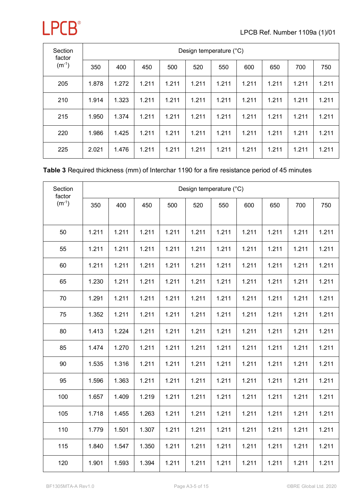

| Section<br>factor<br>$(m^{-1})$ |       | Design temperature (°C) |       |       |       |       |       |       |       |       |  |  |  |  |
|---------------------------------|-------|-------------------------|-------|-------|-------|-------|-------|-------|-------|-------|--|--|--|--|
|                                 | 350   | 400                     | 450   | 500   | 520   | 550   | 600   | 650   | 700   | 750   |  |  |  |  |
| 205                             | 1.878 | 1.272                   | 1.211 | 1.211 | 1.211 | 1.211 | 1.211 | 1.211 | 1.211 | 1.211 |  |  |  |  |
| 210                             | 1.914 | 1.323                   | 1.211 | 1.211 | 1.211 | 1.211 | 1.211 | 1.211 | 1.211 | 1.211 |  |  |  |  |
| 215                             | 1.950 | 1.374                   | 1.211 | 1.211 | 1.211 | 1.211 | 1.211 | 1.211 | 1.211 | 1.211 |  |  |  |  |
| 220                             | 1.986 | 1.425                   | 1.211 | 1.211 | 1.211 | 1.211 | 1.211 | 1.211 | 1.211 | 1.211 |  |  |  |  |
| 225                             | 2.021 | 1.476                   | 1.211 | 1.211 | 1.211 | 1.211 | 1.211 | 1.211 | 1.211 | 1.211 |  |  |  |  |

#### **Table 3** Required thickness (mm) of Interchar 1190 for a fire resistance period of 45 minutes

| Section<br>factor |       |       |       |       | Design temperature (°C) |       |       |       |       |       |
|-------------------|-------|-------|-------|-------|-------------------------|-------|-------|-------|-------|-------|
| $(m^{-1})$        | 350   | 400   | 450   | 500   | 520                     | 550   | 600   | 650   | 700   | 750   |
|                   |       |       |       |       |                         |       |       |       |       |       |
| 50                | 1.211 | 1.211 | 1.211 | 1.211 | 1.211                   | 1.211 | 1.211 | 1.211 | 1.211 | 1.211 |
| 55                | 1.211 | 1.211 | 1.211 | 1.211 | 1.211                   | 1.211 | 1.211 | 1.211 | 1.211 | 1.211 |
| 60                | 1.211 | 1.211 | 1.211 | 1.211 | 1.211                   | 1.211 | 1.211 | 1.211 | 1.211 | 1.211 |
| 65                | 1.230 | 1.211 | 1.211 | 1.211 | 1.211                   | 1.211 | 1.211 | 1.211 | 1.211 | 1.211 |
| 70                | 1.291 | 1.211 | 1.211 | 1.211 | 1.211                   | 1.211 | 1.211 | 1.211 | 1.211 | 1.211 |
| 75                | 1.352 | 1.211 | 1.211 | 1.211 | 1.211                   | 1.211 | 1.211 | 1.211 | 1.211 | 1.211 |
| 80                | 1.413 | 1.224 | 1.211 | 1.211 | 1.211                   | 1.211 | 1.211 | 1.211 | 1.211 | 1.211 |
| 85                | 1.474 | 1.270 | 1.211 | 1.211 | 1.211                   | 1.211 | 1.211 | 1.211 | 1.211 | 1.211 |
| 90                | 1.535 | 1.316 | 1.211 | 1.211 | 1.211                   | 1.211 | 1.211 | 1.211 | 1.211 | 1.211 |
| 95                | 1.596 | 1.363 | 1.211 | 1.211 | 1.211                   | 1.211 | 1.211 | 1.211 | 1.211 | 1.211 |
| 100               | 1.657 | 1.409 | 1.219 | 1.211 | 1.211                   | 1.211 | 1.211 | 1.211 | 1.211 | 1.211 |
| 105               | 1.718 | 1.455 | 1.263 | 1.211 | 1.211                   | 1.211 | 1.211 | 1.211 | 1.211 | 1.211 |
| 110               | 1.779 | 1.501 | 1.307 | 1.211 | 1.211                   | 1.211 | 1.211 | 1.211 | 1.211 | 1.211 |
| 115               | 1.840 | 1.547 | 1.350 | 1.211 | 1.211                   | 1.211 | 1.211 | 1.211 | 1.211 | 1.211 |
| 120               | 1.901 | 1.593 | 1.394 | 1.211 | 1.211                   | 1.211 | 1.211 | 1.211 | 1.211 | 1.211 |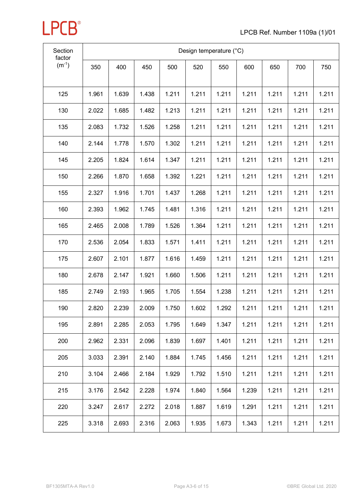

| Section<br>factor | Design temperature (°C) |       |       |       |       |       |       |       |       |       |  |  |
|-------------------|-------------------------|-------|-------|-------|-------|-------|-------|-------|-------|-------|--|--|
| $(m^{-1})$        | 350                     | 400   | 450   | 500   | 520   | 550   | 600   | 650   | 700   | 750   |  |  |
| 125               | 1.961                   | 1.639 | 1.438 | 1.211 | 1.211 | 1.211 | 1.211 | 1.211 | 1.211 | 1.211 |  |  |
| 130               | 2.022                   | 1.685 | 1.482 | 1.213 | 1.211 | 1.211 | 1.211 | 1.211 | 1.211 | 1.211 |  |  |
| 135               | 2.083                   | 1.732 | 1.526 | 1.258 | 1.211 | 1.211 | 1.211 | 1.211 | 1.211 | 1.211 |  |  |
| 140               | 2.144                   | 1.778 | 1.570 | 1.302 | 1.211 | 1.211 | 1.211 | 1.211 | 1.211 | 1.211 |  |  |
| 145               | 2.205                   | 1.824 | 1.614 | 1.347 | 1.211 | 1.211 | 1.211 | 1.211 | 1.211 | 1.211 |  |  |
| 150               | 2.266                   | 1.870 | 1.658 | 1.392 | 1.221 | 1.211 | 1.211 | 1.211 | 1.211 | 1.211 |  |  |
| 155               | 2.327                   | 1.916 | 1.701 | 1.437 | 1.268 | 1.211 | 1.211 | 1.211 | 1.211 | 1.211 |  |  |
| 160               | 2.393                   | 1.962 | 1.745 | 1.481 | 1.316 | 1.211 | 1.211 | 1.211 | 1.211 | 1.211 |  |  |
| 165               | 2.465                   | 2.008 | 1.789 | 1.526 | 1.364 | 1.211 | 1.211 | 1.211 | 1.211 | 1.211 |  |  |
| 170               | 2.536                   | 2.054 | 1.833 | 1.571 | 1.411 | 1.211 | 1.211 | 1.211 | 1.211 | 1.211 |  |  |
| 175               | 2.607                   | 2.101 | 1.877 | 1.616 | 1.459 | 1.211 | 1.211 | 1.211 | 1.211 | 1.211 |  |  |
| 180               | 2.678                   | 2.147 | 1.921 | 1.660 | 1.506 | 1.211 | 1.211 | 1.211 | 1.211 | 1.211 |  |  |
| 185               | 2.749                   | 2.193 | 1.965 | 1.705 | 1.554 | 1.238 | 1.211 | 1.211 | 1.211 | 1.211 |  |  |
| 190               | 2.820                   | 2.239 | 2.009 | 1.750 | 1.602 | 1.292 | 1.211 | 1.211 | 1.211 | 1.211 |  |  |
| 195               | 2.891                   | 2.285 | 2.053 | 1.795 | 1.649 | 1.347 | 1.211 | 1.211 | 1.211 | 1.211 |  |  |
| 200               | 2.962                   | 2.331 | 2.096 | 1.839 | 1.697 | 1.401 | 1.211 | 1.211 | 1.211 | 1.211 |  |  |
| 205               | 3.033                   | 2.391 | 2.140 | 1.884 | 1.745 | 1.456 | 1.211 | 1.211 | 1.211 | 1.211 |  |  |
| 210               | 3.104                   | 2.466 | 2.184 | 1.929 | 1.792 | 1.510 | 1.211 | 1.211 | 1.211 | 1.211 |  |  |
| 215               | 3.176                   | 2.542 | 2.228 | 1.974 | 1.840 | 1.564 | 1.239 | 1.211 | 1.211 | 1.211 |  |  |
| 220               | 3.247                   | 2.617 | 2.272 | 2.018 | 1.887 | 1.619 | 1.291 | 1.211 | 1.211 | 1.211 |  |  |
| 225               | 3.318                   | 2.693 | 2.316 | 2.063 | 1.935 | 1.673 | 1.343 | 1.211 | 1.211 | 1.211 |  |  |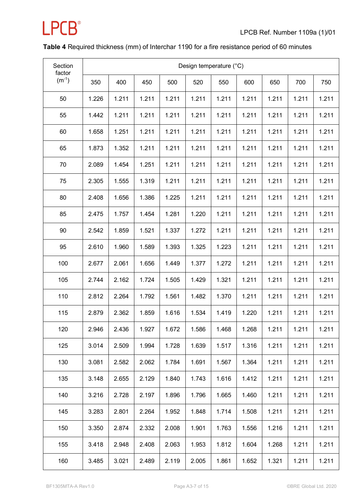

#### **Table 4** Required thickness (mm) of Interchar 1190 for a fire resistance period of 60 minutes

| Section<br>factor | Design temperature (°C) |       |       |       |       |       |       |       |       |       |  |  |
|-------------------|-------------------------|-------|-------|-------|-------|-------|-------|-------|-------|-------|--|--|
| $(m^{-1})$        | 350                     | 400   | 450   | 500   | 520   | 550   | 600   | 650   | 700   | 750   |  |  |
| 50                | 1.226                   | 1.211 | 1.211 | 1.211 | 1.211 | 1.211 | 1.211 | 1.211 | 1.211 | 1.211 |  |  |
| 55                | 1.442                   | 1.211 | 1.211 | 1.211 | 1.211 | 1.211 | 1.211 | 1.211 | 1.211 | 1.211 |  |  |
| 60                | 1.658                   | 1.251 | 1.211 | 1.211 | 1.211 | 1.211 | 1.211 | 1.211 | 1.211 | 1.211 |  |  |
| 65                | 1.873                   | 1.352 | 1.211 | 1.211 | 1.211 | 1.211 | 1.211 | 1.211 | 1.211 | 1.211 |  |  |
| 70                | 2.089                   | 1.454 | 1.251 | 1.211 | 1.211 | 1.211 | 1.211 | 1.211 | 1.211 | 1.211 |  |  |
| 75                | 2.305                   | 1.555 | 1.319 | 1.211 | 1.211 | 1.211 | 1.211 | 1.211 | 1.211 | 1.211 |  |  |
| 80                | 2.408                   | 1.656 | 1.386 | 1.225 | 1.211 | 1.211 | 1.211 | 1.211 | 1.211 | 1.211 |  |  |
| 85                | 2.475                   | 1.757 | 1.454 | 1.281 | 1.220 | 1.211 | 1.211 | 1.211 | 1.211 | 1.211 |  |  |
| 90                | 2.542                   | 1.859 | 1.521 | 1.337 | 1.272 | 1.211 | 1.211 | 1.211 | 1.211 | 1.211 |  |  |
| 95                | 2.610                   | 1.960 | 1.589 | 1.393 | 1.325 | 1.223 | 1.211 | 1.211 | 1.211 | 1.211 |  |  |
| 100               | 2.677                   | 2.061 | 1.656 | 1.449 | 1.377 | 1.272 | 1.211 | 1.211 | 1.211 | 1.211 |  |  |
| 105               | 2.744                   | 2.162 | 1.724 | 1.505 | 1.429 | 1.321 | 1.211 | 1.211 | 1.211 | 1.211 |  |  |
| 110               | 2.812                   | 2.264 | 1.792 | 1.561 | 1.482 | 1.370 | 1.211 | 1.211 | 1.211 | 1.211 |  |  |
| 115               | 2.879                   | 2.362 | 1.859 | 1.616 | 1.534 | 1.419 | 1.220 | 1.211 | 1.211 | 1.211 |  |  |
| 120               | 2.946                   | 2.436 | 1.927 | 1.672 | 1.586 | 1.468 | 1.268 | 1.211 | 1.211 | 1.211 |  |  |
| 125               | 3.014                   | 2.509 | 1.994 | 1.728 | 1.639 | 1.517 | 1.316 | 1.211 | 1.211 | 1.211 |  |  |
| 130               | 3.081                   | 2.582 | 2.062 | 1.784 | 1.691 | 1.567 | 1.364 | 1.211 | 1.211 | 1.211 |  |  |
| 135               | 3.148                   | 2.655 | 2.129 | 1.840 | 1.743 | 1.616 | 1.412 | 1.211 | 1.211 | 1.211 |  |  |
| 140               | 3.216                   | 2.728 | 2.197 | 1.896 | 1.796 | 1.665 | 1.460 | 1.211 | 1.211 | 1.211 |  |  |
| 145               | 3.283                   | 2.801 | 2.264 | 1.952 | 1.848 | 1.714 | 1.508 | 1.211 | 1.211 | 1.211 |  |  |
| 150               | 3.350                   | 2.874 | 2.332 | 2.008 | 1.901 | 1.763 | 1.556 | 1.216 | 1.211 | 1.211 |  |  |
| 155               | 3.418                   | 2.948 | 2.408 | 2.063 | 1.953 | 1.812 | 1.604 | 1.268 | 1.211 | 1.211 |  |  |
| 160               | 3.485                   | 3.021 | 2.489 | 2.119 | 2.005 | 1.861 | 1.652 | 1.321 | 1.211 | 1.211 |  |  |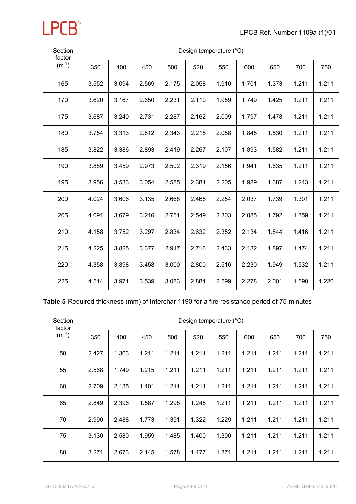| Section<br>factor | Design temperature (°C) |       |       |       |       |       |       |       |       |       |  |  |  |
|-------------------|-------------------------|-------|-------|-------|-------|-------|-------|-------|-------|-------|--|--|--|
| $(m^{-1})$        | 350                     | 400   | 450   | 500   | 520   | 550   | 600   | 650   | 700   | 750   |  |  |  |
| 165               | 3.552                   | 3.094 | 2.569 | 2.175 | 2.058 | 1.910 | 1.701 | 1.373 | 1.211 | 1.211 |  |  |  |
| 170               | 3.620                   | 3.167 | 2.650 | 2.231 | 2.110 | 1.959 | 1.749 | 1.425 | 1.211 | 1.211 |  |  |  |
| 175               | 3.687                   | 3.240 | 2.731 | 2.287 | 2.162 | 2.009 | 1.797 | 1.478 | 1.211 | 1.211 |  |  |  |
| 180               | 3.754                   | 3.313 | 2.812 | 2.343 | 2.215 | 2.058 | 1.845 | 1.530 | 1.211 | 1.211 |  |  |  |
| 185               | 3.822                   | 3.386 | 2.893 | 2.419 | 2.267 | 2.107 | 1.893 | 1.582 | 1.211 | 1.211 |  |  |  |
| 190               | 3.889                   | 3.459 | 2.973 | 2.502 | 2.319 | 2.156 | 1.941 | 1.635 | 1.211 | 1.211 |  |  |  |
| 195               | 3.956                   | 3.533 | 3.054 | 2.585 | 2.381 | 2.205 | 1.989 | 1.687 | 1.243 | 1.211 |  |  |  |
| 200               | 4.024                   | 3.606 | 3.135 | 2.668 | 2.465 | 2.254 | 2.037 | 1.739 | 1.301 | 1.211 |  |  |  |
| 205               | 4.091                   | 3.679 | 3.216 | 2.751 | 2.549 | 2.303 | 2.085 | 1.792 | 1.359 | 1.211 |  |  |  |
| 210               | 4.158                   | 3.752 | 3.297 | 2.834 | 2.632 | 2.352 | 2.134 | 1.844 | 1.416 | 1.211 |  |  |  |
| 215               | 4.225                   | 3.825 | 3.377 | 2.917 | 2.716 | 2.433 | 2.182 | 1.897 | 1.474 | 1.211 |  |  |  |
| 220               | 4.358                   | 3.898 | 3.458 | 3.000 | 2.800 | 2.516 | 2.230 | 1.949 | 1.532 | 1.211 |  |  |  |
| 225               | 4.514                   | 3.971 | 3.539 | 3.083 | 2.884 | 2.599 | 2.278 | 2.001 | 1.590 | 1.226 |  |  |  |

| Section<br>factor | Design temperature (°C) |       |       |       |       |       |       |       |       |       |  |  |  |
|-------------------|-------------------------|-------|-------|-------|-------|-------|-------|-------|-------|-------|--|--|--|
| $(m^{-1})$        | 350                     | 400   | 450   | 500   | 520   | 550   | 600   | 650   | 700   | 750   |  |  |  |
| 50                | 2.427                   | 1.363 | 1.211 | 1.211 | 1.211 | 1.211 | 1.211 | 1.211 | 1.211 | 1.211 |  |  |  |
| 55                | 2.568                   | 1.749 | 1.215 | 1.211 | 1.211 | 1.211 | 1.211 | 1.211 | 1.211 | 1.211 |  |  |  |
| 60                | 2.709                   | 2.135 | 1.401 | 1.211 | 1.211 | 1.211 | 1.211 | 1.211 | 1.211 | 1.211 |  |  |  |
| 65                | 2.849                   | 2.396 | 1.587 | 1.298 | 1.245 | 1.211 | 1.211 | 1.211 | 1.211 | 1.211 |  |  |  |
| 70                | 2.990                   | 2.488 | 1.773 | 1.391 | 1.322 | 1.229 | 1.211 | 1.211 | 1.211 | 1.211 |  |  |  |
| 75                | 3.130                   | 2.580 | 1.959 | 1.485 | 1.400 | 1.300 | 1.211 | 1.211 | 1.211 | 1.211 |  |  |  |
| 80                | 3.271                   | 2.673 | 2.145 | 1.578 | 1.477 | 1.371 | 1.211 | 1.211 | 1.211 | 1.211 |  |  |  |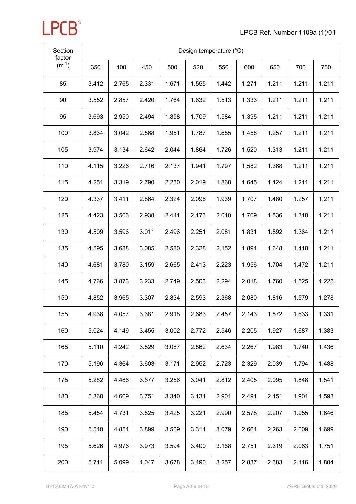| Section<br>factor | Design temperature (°C) |       |       |       |       |       |       |       |       |       |
|-------------------|-------------------------|-------|-------|-------|-------|-------|-------|-------|-------|-------|
| $(m^{-1})$        | 350                     | 400   | 450   | 500   | 520   | 550   | 600   | 650   | 700   | 750   |
| 85                | 3.412                   | 2.765 | 2.331 | 1.671 | 1.555 | 1.442 | 1.271 | 1.211 | 1.211 | 1.211 |
| 90                | 3.552                   | 2.857 | 2.420 | 1.764 | 1.632 | 1.513 | 1.333 | 1.211 | 1.211 | 1.211 |
| 95                | 3.693                   | 2.950 | 2.494 | 1.858 | 1.709 | 1.584 | 1.395 | 1.211 | 1.211 | 1.211 |
| 100               | 3.834                   | 3.042 | 2.568 | 1.951 | 1.787 | 1.655 | 1.458 | 1.257 | 1.211 | 1.211 |
| 105               | 3.974                   | 3.134 | 2.642 | 2.044 | 1.864 | 1.726 | 1.520 | 1.313 | 1.211 | 1.211 |
| 110               | 4.115                   | 3.226 | 2.716 | 2.137 | 1.941 | 1.797 | 1.582 | 1.368 | 1.211 | 1.211 |
| 115               | 4.251                   | 3.319 | 2.790 | 2.230 | 2.019 | 1.868 | 1.645 | 1.424 | 1.211 | 1.211 |
| 120               | 4.337                   | 3.411 | 2.864 | 2.324 | 2.096 | 1.939 | 1.707 | 1.480 | 1.257 | 1.211 |
| 125               | 4.423                   | 3.503 | 2.938 | 2.411 | 2.173 | 2.010 | 1.769 | 1.536 | 1.310 | 1.211 |
| 130               | 4.509                   | 3.596 | 3.011 | 2.496 | 2.251 | 2.081 | 1.831 | 1.592 | 1.364 | 1.211 |
| 135               | 4.595                   | 3.688 | 3.085 | 2.580 | 2.328 | 2.152 | 1.894 | 1.648 | 1.418 | 1.211 |
| 140               | 4.681                   | 3.780 | 3.159 | 2.665 | 2.413 | 2.223 | 1.956 | 1.704 | 1.472 | 1.211 |
| 145               | 4.766                   | 3.873 | 3.233 | 2.749 | 2.503 | 2.294 | 2.018 | 1.760 | 1.525 | 1.225 |
| 150               | 4.852                   | 3.965 | 3.307 | 2.834 | 2.593 | 2.368 | 2.080 | 1.816 | 1.579 | 1.278 |
| 155               | 4.938                   | 4.057 | 3.381 | 2.918 | 2.683 | 2.457 | 2.143 | 1.872 | 1.633 | 1.331 |
| 160               | 5.024                   | 4.149 | 3.455 | 3.002 | 2.772 | 2.546 | 2.205 | 1.927 | 1.687 | 1.383 |
| 165               | 5.110                   | 4.242 | 3.529 | 3.087 | 2.862 | 2.634 | 2.267 | 1.983 | 1.740 | 1.436 |
| 170               | 5.196                   | 4.364 | 3.603 | 3.171 | 2.952 | 2.723 | 2.329 | 2.039 | 1.794 | 1.488 |
| 175               | 5.282                   | 4.486 | 3.677 | 3.256 | 3.041 | 2.812 | 2.405 | 2.095 | 1.848 | 1.541 |
| 180               | 5.368                   | 4.609 | 3.751 | 3.340 | 3.131 | 2.901 | 2.491 | 2.151 | 1.901 | 1.593 |
| 185               | 5.454                   | 4.731 | 3.825 | 3.425 | 3.221 | 2.990 | 2.578 | 2.207 | 1.955 | 1.646 |
| 190               | 5.540                   | 4.854 | 3.899 | 3.509 | 3.311 | 3.079 | 2.664 | 2.263 | 2.009 | 1.699 |
| 195               | 5.626                   | 4.976 | 3.973 | 3.594 | 3.400 | 3.168 | 2.751 | 2.319 | 2.063 | 1.751 |
| 200               | 5.711                   | 5.099 | 4.047 | 3.678 | 3.490 | 3.257 | 2.837 | 2.383 | 2.116 | 1.804 |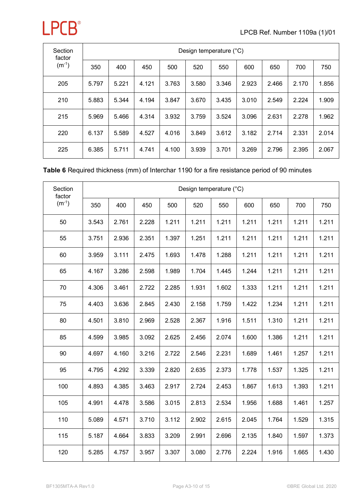

| Section<br>factor |       | Design temperature (°C) |       |       |       |       |       |       |       |       |  |  |  |  |
|-------------------|-------|-------------------------|-------|-------|-------|-------|-------|-------|-------|-------|--|--|--|--|
| $(m^{-1})$        | 350   | 400                     | 450   | 500   | 520   | 550   | 600   | 650   | 700   | 750   |  |  |  |  |
| 205               | 5.797 | 5.221                   | 4.121 | 3.763 | 3.580 | 3.346 | 2.923 | 2.466 | 2.170 | 1.856 |  |  |  |  |
| 210               | 5.883 | 5.344                   | 4.194 | 3.847 | 3.670 | 3.435 | 3.010 | 2.549 | 2.224 | 1.909 |  |  |  |  |
| 215               | 5.969 | 5.466                   | 4.314 | 3.932 | 3.759 | 3.524 | 3.096 | 2.631 | 2.278 | 1.962 |  |  |  |  |
| 220               | 6.137 | 5.589                   | 4.527 | 4.016 | 3.849 | 3.612 | 3.182 | 2.714 | 2.331 | 2.014 |  |  |  |  |
| 225               | 6.385 | 5.711                   | 4.741 | 4.100 | 3.939 | 3.701 | 3.269 | 2.796 | 2.395 | 2.067 |  |  |  |  |

#### **Table 6** Required thickness (mm) of Interchar 1190 for a fire resistance period of 90 minutes

| Section<br>factor |       |       |       |       | Design temperature (°C) |       |       |       |       |       |
|-------------------|-------|-------|-------|-------|-------------------------|-------|-------|-------|-------|-------|
| $(m^{-1})$        | 350   | 400   | 450   | 500   | 520                     | 550   | 600   | 650   | 700   | 750   |
| 50                | 3.543 | 2.761 | 2.228 | 1.211 | 1.211                   | 1.211 | 1.211 | 1.211 | 1.211 | 1.211 |
| 55                | 3.751 | 2.936 | 2.351 | 1.397 | 1.251                   | 1.211 | 1.211 | 1.211 | 1.211 | 1.211 |
| 60                | 3.959 | 3.111 | 2.475 | 1.693 | 1.478                   | 1.288 | 1.211 | 1.211 | 1.211 | 1.211 |
| 65                | 4.167 | 3.286 | 2.598 | 1.989 | 1.704                   | 1.445 | 1.244 | 1.211 | 1.211 | 1.211 |
| 70                | 4.306 | 3.461 | 2.722 | 2.285 | 1.931                   | 1.602 | 1.333 | 1.211 | 1.211 | 1.211 |
| 75                | 4.403 | 3.636 | 2.845 | 2.430 | 2.158                   | 1.759 | 1.422 | 1.234 | 1.211 | 1.211 |
| 80                | 4.501 | 3.810 | 2.969 | 2.528 | 2.367                   | 1.916 | 1.511 | 1.310 | 1.211 | 1.211 |
| 85                | 4.599 | 3.985 | 3.092 | 2.625 | 2.456                   | 2.074 | 1.600 | 1.386 | 1.211 | 1.211 |
| 90                | 4.697 | 4.160 | 3.216 | 2.722 | 2.546                   | 2.231 | 1.689 | 1.461 | 1.257 | 1.211 |
| 95                | 4.795 | 4.292 | 3.339 | 2.820 | 2.635                   | 2.373 | 1.778 | 1.537 | 1.325 | 1.211 |
| 100               | 4.893 | 4.385 | 3.463 | 2.917 | 2.724                   | 2.453 | 1.867 | 1.613 | 1.393 | 1.211 |
| 105               | 4.991 | 4.478 | 3.586 | 3.015 | 2.813                   | 2.534 | 1.956 | 1.688 | 1.461 | 1.257 |
| 110               | 5.089 | 4.571 | 3.710 | 3.112 | 2.902                   | 2.615 | 2.045 | 1.764 | 1.529 | 1.315 |
| 115               | 5.187 | 4.664 | 3.833 | 3.209 | 2.991                   | 2.696 | 2.135 | 1.840 | 1.597 | 1.373 |
| 120               | 5.285 | 4.757 | 3.957 | 3.307 | 3.080                   | 2.776 | 2.224 | 1.916 | 1.665 | 1.430 |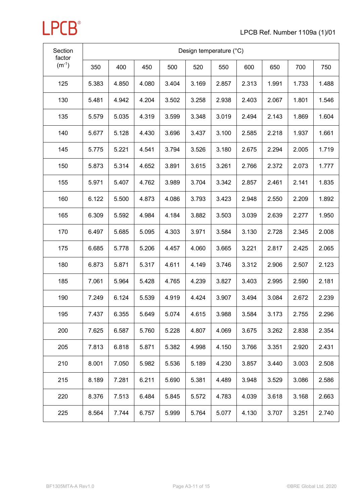| Section<br>factor | Design temperature (°C) |       |       |       |       |       |       |       |       |       |
|-------------------|-------------------------|-------|-------|-------|-------|-------|-------|-------|-------|-------|
| $(m^{-1})$        | 350                     | 400   | 450   | 500   | 520   | 550   | 600   | 650   | 700   | 750   |
| 125               | 5.383                   | 4.850 | 4.080 | 3.404 | 3.169 | 2.857 | 2.313 | 1.991 | 1.733 | 1.488 |
| 130               | 5.481                   | 4.942 | 4.204 | 3.502 | 3.258 | 2.938 | 2.403 | 2.067 | 1.801 | 1.546 |
| 135               | 5.579                   | 5.035 | 4.319 | 3.599 | 3.348 | 3.019 | 2.494 | 2.143 | 1.869 | 1.604 |
| 140               | 5.677                   | 5.128 | 4.430 | 3.696 | 3.437 | 3.100 | 2.585 | 2.218 | 1.937 | 1.661 |
| 145               | 5.775                   | 5.221 | 4.541 | 3.794 | 3.526 | 3.180 | 2.675 | 2.294 | 2.005 | 1.719 |
| 150               | 5.873                   | 5.314 | 4.652 | 3.891 | 3.615 | 3.261 | 2.766 | 2.372 | 2.073 | 1.777 |
| 155               | 5.971                   | 5.407 | 4.762 | 3.989 | 3.704 | 3.342 | 2.857 | 2.461 | 2.141 | 1.835 |
| 160               | 6.122                   | 5.500 | 4.873 | 4.086 | 3.793 | 3.423 | 2.948 | 2.550 | 2.209 | 1.892 |
| 165               | 6.309                   | 5.592 | 4.984 | 4.184 | 3.882 | 3.503 | 3.039 | 2.639 | 2.277 | 1.950 |
| 170               | 6.497                   | 5.685 | 5.095 | 4.303 | 3.971 | 3.584 | 3.130 | 2.728 | 2.345 | 2.008 |
| 175               | 6.685                   | 5.778 | 5.206 | 4.457 | 4.060 | 3.665 | 3.221 | 2.817 | 2.425 | 2.065 |
| 180               | 6.873                   | 5.871 | 5.317 | 4.611 | 4.149 | 3.746 | 3.312 | 2.906 | 2.507 | 2.123 |
| 185               | 7.061                   | 5.964 | 5.428 | 4.765 | 4.239 | 3.827 | 3.403 | 2.995 | 2.590 | 2.181 |
| 190               | 7.249                   | 6.124 | 5.539 | 4.919 | 4.424 | 3.907 | 3.494 | 3.084 | 2.672 | 2.239 |
| 195               | 7.437                   | 6.355 | 5.649 | 5.074 | 4.615 | 3.988 | 3.584 | 3.173 | 2.755 | 2.296 |
| 200               | 7.625                   | 6.587 | 5.760 | 5.228 | 4.807 | 4.069 | 3.675 | 3.262 | 2.838 | 2.354 |
| 205               | 7.813                   | 6.818 | 5.871 | 5.382 | 4.998 | 4.150 | 3.766 | 3.351 | 2.920 | 2.431 |
| 210               | 8.001                   | 7.050 | 5.982 | 5.536 | 5.189 | 4.230 | 3.857 | 3.440 | 3.003 | 2.508 |
| 215               | 8.189                   | 7.281 | 6.211 | 5.690 | 5.381 | 4.489 | 3.948 | 3.529 | 3.086 | 2.586 |
| 220               | 8.376                   | 7.513 | 6.484 | 5.845 | 5.572 | 4.783 | 4.039 | 3.618 | 3.168 | 2.663 |
| 225               | 8.564                   | 7.744 | 6.757 | 5.999 | 5.764 | 5.077 | 4.130 | 3.707 | 3.251 | 2.740 |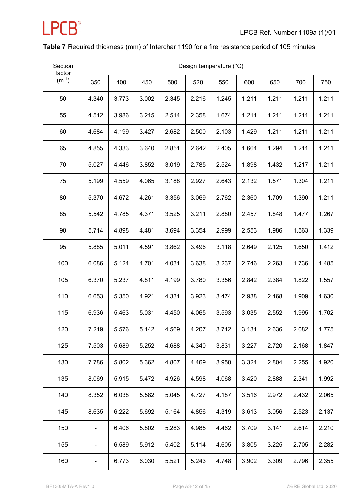

#### **Table 7** Required thickness (mm) of Interchar 1190 for a fire resistance period of 105 minutes

| Section<br>factor | Design temperature (°C)  |       |       |       |       |       |       |       |       |       |  |  |  |
|-------------------|--------------------------|-------|-------|-------|-------|-------|-------|-------|-------|-------|--|--|--|
| $(m^{-1})$        | 350                      | 400   | 450   | 500   | 520   | 550   | 600   | 650   | 700   | 750   |  |  |  |
| 50                | 4.340                    | 3.773 | 3.002 | 2.345 | 2.216 | 1.245 | 1.211 | 1.211 | 1.211 | 1.211 |  |  |  |
| 55                | 4.512                    | 3.986 | 3.215 | 2.514 | 2.358 | 1.674 | 1.211 | 1.211 | 1.211 | 1.211 |  |  |  |
| 60                | 4.684                    | 4.199 | 3.427 | 2.682 | 2.500 | 2.103 | 1.429 | 1.211 | 1.211 | 1.211 |  |  |  |
| 65                | 4.855                    | 4.333 | 3.640 | 2.851 | 2.642 | 2.405 | 1.664 | 1.294 | 1.211 | 1.211 |  |  |  |
| 70                | 5.027                    | 4.446 | 3.852 | 3.019 | 2.785 | 2.524 | 1.898 | 1.432 | 1.217 | 1.211 |  |  |  |
| 75                | 5.199                    | 4.559 | 4.065 | 3.188 | 2.927 | 2.643 | 2.132 | 1.571 | 1.304 | 1.211 |  |  |  |
| 80                | 5.370                    | 4.672 | 4.261 | 3.356 | 3.069 | 2.762 | 2.360 | 1.709 | 1.390 | 1.211 |  |  |  |
| 85                | 5.542                    | 4.785 | 4.371 | 3.525 | 3.211 | 2.880 | 2.457 | 1.848 | 1.477 | 1.267 |  |  |  |
| 90                | 5.714                    | 4.898 | 4.481 | 3.694 | 3.354 | 2.999 | 2.553 | 1.986 | 1.563 | 1.339 |  |  |  |
| 95                | 5.885                    | 5.011 | 4.591 | 3.862 | 3.496 | 3.118 | 2.649 | 2.125 | 1.650 | 1.412 |  |  |  |
| 100               | 6.086                    | 5.124 | 4.701 | 4.031 | 3.638 | 3.237 | 2.746 | 2.263 | 1.736 | 1.485 |  |  |  |
| 105               | 6.370                    | 5.237 | 4.811 | 4.199 | 3.780 | 3.356 | 2.842 | 2.384 | 1.822 | 1.557 |  |  |  |
| 110               | 6.653                    | 5.350 | 4.921 | 4.331 | 3.923 | 3.474 | 2.938 | 2.468 | 1.909 | 1.630 |  |  |  |
| 115               | 6.936                    | 5.463 | 5.031 | 4.450 | 4.065 | 3.593 | 3.035 | 2.552 | 1.995 | 1.702 |  |  |  |
| 120               | 7.219                    | 5.576 | 5.142 | 4.569 | 4.207 | 3.712 | 3.131 | 2.636 | 2.082 | 1.775 |  |  |  |
| 125               | 7.503                    | 5.689 | 5.252 | 4.688 | 4.340 | 3.831 | 3.227 | 2.720 | 2.168 | 1.847 |  |  |  |
| 130               | 7.786                    | 5.802 | 5.362 | 4.807 | 4.469 | 3.950 | 3.324 | 2.804 | 2.255 | 1.920 |  |  |  |
| 135               | 8.069                    | 5.915 | 5.472 | 4.926 | 4.598 | 4.068 | 3.420 | 2.888 | 2.341 | 1.992 |  |  |  |
| 140               | 8.352                    | 6.038 | 5.582 | 5.045 | 4.727 | 4.187 | 3.516 | 2.972 | 2.432 | 2.065 |  |  |  |
| 145               | 8.635                    | 6.222 | 5.692 | 5.164 | 4.856 | 4.319 | 3.613 | 3.056 | 2.523 | 2.137 |  |  |  |
| 150               |                          | 6.406 | 5.802 | 5.283 | 4.985 | 4.462 | 3.709 | 3.141 | 2.614 | 2.210 |  |  |  |
| 155               | $\overline{\phantom{a}}$ | 6.589 | 5.912 | 5.402 | 5.114 | 4.605 | 3.805 | 3.225 | 2.705 | 2.282 |  |  |  |
| 160               | ۰                        | 6.773 | 6.030 | 5.521 | 5.243 | 4.748 | 3.902 | 3.309 | 2.796 | 2.355 |  |  |  |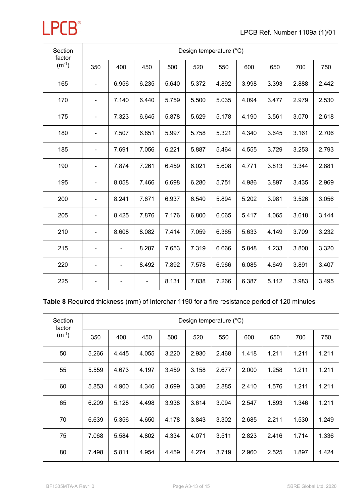| Section<br>factor | Design temperature (°C) |                          |                |       |       |       |       |       |       |       |  |  |  |
|-------------------|-------------------------|--------------------------|----------------|-------|-------|-------|-------|-------|-------|-------|--|--|--|
| $(m^{-1})$        | 350                     | 400                      | 450            | 500   | 520   | 550   | 600   | 650   | 700   | 750   |  |  |  |
| 165               |                         | 6.956                    | 6.235          | 5.640 | 5.372 | 4.892 | 3.998 | 3.393 | 2.888 | 2.442 |  |  |  |
| 170               | ÷                       | 7.140                    | 6.440          | 5.759 | 5.500 | 5.035 | 4.094 | 3.477 | 2.979 | 2.530 |  |  |  |
| 175               | -                       | 7.323                    | 6.645          | 5.878 | 5.629 | 5.178 | 4.190 | 3.561 | 3.070 | 2.618 |  |  |  |
| 180               |                         | 7.507                    | 6.851          | 5.997 | 5.758 | 5.321 | 4.340 | 3.645 | 3.161 | 2.706 |  |  |  |
| 185               |                         | 7.691                    | 7.056          | 6.221 | 5.887 | 5.464 | 4.555 | 3.729 | 3.253 | 2.793 |  |  |  |
| 190               |                         | 7.874                    | 7.261          | 6.459 | 6.021 | 5.608 | 4.771 | 3.813 | 3.344 | 2.881 |  |  |  |
| 195               | -                       | 8.058                    | 7.466          | 6.698 | 6.280 | 5.751 | 4.986 | 3.897 | 3.435 | 2.969 |  |  |  |
| 200               |                         | 8.241                    | 7.671          | 6.937 | 6.540 | 5.894 | 5.202 | 3.981 | 3.526 | 3.056 |  |  |  |
| 205               | -                       | 8.425                    | 7.876          | 7.176 | 6.800 | 6.065 | 5.417 | 4.065 | 3.618 | 3.144 |  |  |  |
| 210               | -                       | 8.608                    | 8.082          | 7.414 | 7.059 | 6.365 | 5.633 | 4.149 | 3.709 | 3.232 |  |  |  |
| 215               | -                       |                          | 8.287          | 7.653 | 7.319 | 6.666 | 5.848 | 4.233 | 3.800 | 3.320 |  |  |  |
| 220               | -                       | $\overline{\phantom{0}}$ | 8.492          | 7.892 | 7.578 | 6.966 | 6.085 | 4.649 | 3.891 | 3.407 |  |  |  |
| 225               | -                       |                          | $\blacksquare$ | 8.131 | 7.838 | 7.266 | 6.387 | 5.112 | 3.983 | 3.495 |  |  |  |

### **Table 8** Required thickness (mm) of Interchar 1190 for a fire resistance period of 120 minutes

| Section<br>factor | Design temperature (°C) |       |       |       |       |       |       |       |       |       |  |  |  |
|-------------------|-------------------------|-------|-------|-------|-------|-------|-------|-------|-------|-------|--|--|--|
| $(m^{-1})$        | 350                     | 400   | 450   | 500   | 520   | 550   | 600   | 650   | 700   | 750   |  |  |  |
| 50                | 5.266                   | 4.445 | 4.055 | 3.220 | 2.930 | 2.468 | 1.418 | 1.211 | 1.211 | 1.211 |  |  |  |
| 55                | 5.559                   | 4.673 | 4.197 | 3.459 | 3.158 | 2.677 | 2.000 | 1.258 | 1.211 | 1.211 |  |  |  |
| 60                | 5.853                   | 4.900 | 4.346 | 3.699 | 3.386 | 2.885 | 2.410 | 1.576 | 1.211 | 1.211 |  |  |  |
| 65                | 6.209                   | 5.128 | 4.498 | 3.938 | 3.614 | 3.094 | 2.547 | 1.893 | 1.346 | 1.211 |  |  |  |
| 70                | 6.639                   | 5.356 | 4.650 | 4.178 | 3.843 | 3.302 | 2.685 | 2.211 | 1.530 | 1.249 |  |  |  |
| 75                | 7.068                   | 5.584 | 4.802 | 4.334 | 4.071 | 3.511 | 2.823 | 2.416 | 1.714 | 1.336 |  |  |  |
| 80                | 7.498                   | 5.811 | 4.954 | 4.459 | 4.274 | 3.719 | 2.960 | 2.525 | 1.897 | 1.424 |  |  |  |

**LPCB**<sup>®</sup>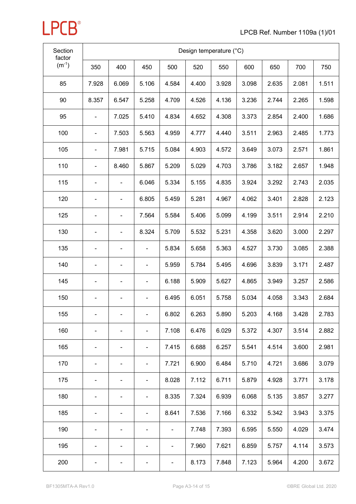| Section<br>factor | Design temperature (°C) |       |                              |       |       |       |       |       |       |       |  |
|-------------------|-------------------------|-------|------------------------------|-------|-------|-------|-------|-------|-------|-------|--|
| $(m^{-1})$        | 350                     | 400   | 450                          | 500   | 520   | 550   | 600   | 650   | 700   | 750   |  |
| 85                | 7.928                   | 6.069 | 5.106                        | 4.584 | 4.400 | 3.928 | 3.098 | 2.635 | 2.081 | 1.511 |  |
| 90                | 8.357                   | 6.547 | 5.258                        | 4.709 | 4.526 | 4.136 | 3.236 | 2.744 | 2.265 | 1.598 |  |
| 95                |                         | 7.025 | 5.410                        | 4.834 | 4.652 | 4.308 | 3.373 | 2.854 | 2.400 | 1.686 |  |
| 100               |                         | 7.503 | 5.563                        | 4.959 | 4.777 | 4.440 | 3.511 | 2.963 | 2.485 | 1.773 |  |
| 105               | -                       | 7.981 | 5.715                        | 5.084 | 4.903 | 4.572 | 3.649 | 3.073 | 2.571 | 1.861 |  |
| 110               | -                       | 8.460 | 5.867                        | 5.209 | 5.029 | 4.703 | 3.786 | 3.182 | 2.657 | 1.948 |  |
| 115               |                         |       | 6.046                        | 5.334 | 5.155 | 4.835 | 3.924 | 3.292 | 2.743 | 2.035 |  |
| 120               |                         |       | 6.805                        | 5.459 | 5.281 | 4.967 | 4.062 | 3.401 | 2.828 | 2.123 |  |
| 125               |                         | -     | 7.564                        | 5.584 | 5.406 | 5.099 | 4.199 | 3.511 | 2.914 | 2.210 |  |
| 130               |                         |       | 8.324                        | 5.709 | 5.532 | 5.231 | 4.358 | 3.620 | 3.000 | 2.297 |  |
| 135               |                         |       |                              | 5.834 | 5.658 | 5.363 | 4.527 | 3.730 | 3.085 | 2.388 |  |
| 140               | -                       |       | -                            | 5.959 | 5.784 | 5.495 | 4.696 | 3.839 | 3.171 | 2.487 |  |
| 145               |                         |       |                              | 6.188 | 5.909 | 5.627 | 4.865 | 3.949 | 3.257 | 2.586 |  |
| 150               |                         |       | $\overline{\phantom{a}}$     | 6.495 | 6.051 | 5.758 | 5.034 | 4.058 | 3.343 | 2.684 |  |
| 155               |                         |       | $\qquad \qquad \blacksquare$ | 6.802 | 6.263 | 5.890 | 5.203 | 4.168 | 3.428 | 2.783 |  |
| 160               |                         |       | $\overline{\phantom{a}}$     | 7.108 | 6.476 | 6.029 | 5.372 | 4.307 | 3.514 | 2.882 |  |
| 165               |                         |       | $\overline{\phantom{a}}$     | 7.415 | 6.688 | 6.257 | 5.541 | 4.514 | 3.600 | 2.981 |  |
| 170               |                         |       | $\blacksquare$               | 7.721 | 6.900 | 6.484 | 5.710 | 4.721 | 3.686 | 3.079 |  |
| 175               | -                       |       | $\blacksquare$               | 8.028 | 7.112 | 6.711 | 5.879 | 4.928 | 3.771 | 3.178 |  |
| 180               |                         |       | $\overline{\phantom{a}}$     | 8.335 | 7.324 | 6.939 | 6.068 | 5.135 | 3.857 | 3.277 |  |
| 185               | -                       |       | $\overline{\phantom{a}}$     | 8.641 | 7.536 | 7.166 | 6.332 | 5.342 | 3.943 | 3.375 |  |
| 190               |                         |       | ٠                            |       | 7.748 | 7.393 | 6.595 | 5.550 | 4.029 | 3.474 |  |
| 195               |                         |       | $\blacksquare$               |       | 7.960 | 7.621 | 6.859 | 5.757 | 4.114 | 3.573 |  |
| 200               |                         |       |                              |       | 8.173 | 7.848 | 7.123 | 5.964 | 4.200 | 3.672 |  |